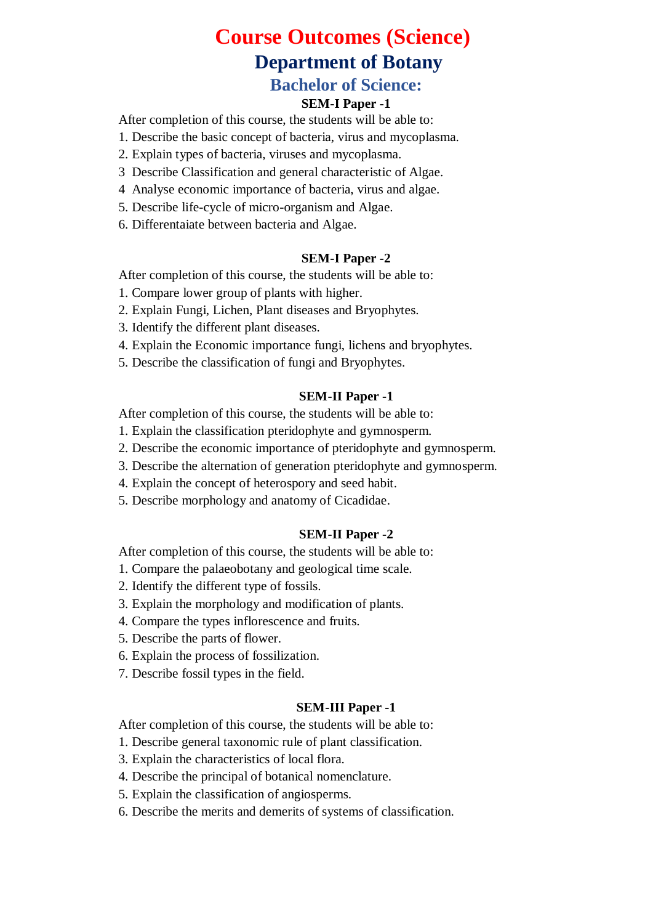# **Course Outcomes (Science) Department of Botany Bachelor of Science:**

#### **SEM-I Paper -1**

After completion of this course, the students will be able to:

- 1. Describe the basic concept of bacteria, virus and mycoplasma.
- 2. Explain types of bacteria, viruses and mycoplasma.
- 3 Describe Classification and general characteristic of Algae.
- 4 Analyse economic importance of bacteria, virus and algae.
- 5. Describe life-cycle of micro-organism and Algae.
- 6. Differentaiate between bacteria and Algae.

#### **SEM-I Paper -2**

After completion of this course, the students will be able to:

- 1. Compare lower group of plants with higher.
- 2. Explain Fungi, Lichen, Plant diseases and Bryophytes.
- 3. Identify the different plant diseases.
- 4. Explain the Economic importance fungi, lichens and bryophytes.
- 5. Describe the classification of fungi and Bryophytes.

#### **SEM-II Paper -1**

After completion of this course, the students will be able to:

- 1. Explain the classification pteridophyte and gymnosperm.
- 2. Describe the economic importance of pteridophyte and gymnosperm.
- 3. Describe the alternation of generation pteridophyte and gymnosperm.
- 4. Explain the concept of heterospory and seed habit.
- 5. Describe morphology and anatomy of Cicadidae.

#### **SEM-II Paper -2**

After completion of this course, the students will be able to:

- 1. Compare the palaeobotany and geological time scale.
- 2. Identify the different type of fossils.
- 3. Explain the morphology and modification of plants.
- 4. Compare the types inflorescence and fruits.
- 5. Describe the parts of flower.
- 6. Explain the process of fossilization.
- 7. Describe fossil types in the field.

#### **SEM-III Paper -1**

After completion of this course, the students will be able to:

- 1. Describe general taxonomic rule of plant classification.
- 3. Explain the characteristics of local flora.
- 4. Describe the principal of botanical nomenclature.
- 5. Explain the classification of angiosperms.
- 6. Describe the merits and demerits of systems of classification.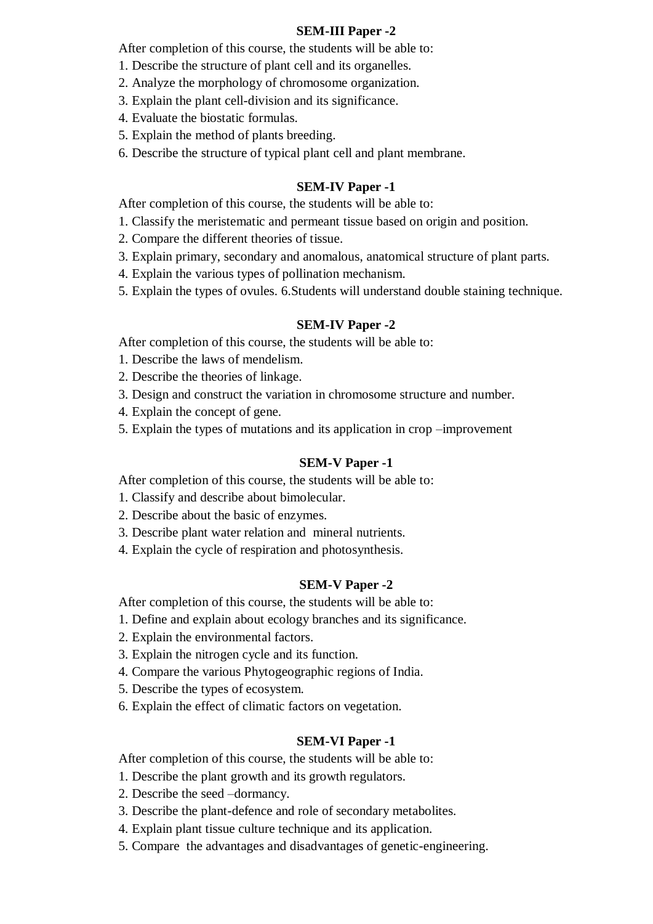#### **SEM-III Paper -2**

After completion of this course, the students will be able to:

- 1. Describe the structure of plant cell and its organelles.
- 2. Analyze the morphology of chromosome organization.
- 3. Explain the plant cell-division and its significance.
- 4. Evaluate the biostatic formulas.
- 5. Explain the method of plants breeding.
- 6. Describe the structure of typical plant cell and plant membrane.

#### **SEM-IV Paper -1**

After completion of this course, the students will be able to:

- 1. Classify the meristematic and permeant tissue based on origin and position.
- 2. Compare the different theories of tissue.
- 3. Explain primary, secondary and anomalous, anatomical structure of plant parts.
- 4. Explain the various types of pollination mechanism.
- 5. Explain the types of ovules. 6.Students will understand double staining technique.

#### **SEM-IV Paper -2**

After completion of this course, the students will be able to:

- 1. Describe the laws of mendelism.
- 2. Describe the theories of linkage.
- 3. Design and construct the variation in chromosome structure and number.
- 4. Explain the concept of gene.
- 5. Explain the types of mutations and its application in crop –improvement

#### **SEM-V Paper -1**

After completion of this course, the students will be able to:

- 1. Classify and describe about bimolecular.
- 2. Describe about the basic of enzymes.
- 3. Describe plant water relation and mineral nutrients.
- 4. Explain the cycle of respiration and photosynthesis.

#### **SEM-V Paper -2**

After completion of this course, the students will be able to:

- 1. Define and explain about ecology branches and its significance.
- 2. Explain the environmental factors.
- 3. Explain the nitrogen cycle and its function.
- 4. Compare the various Phytogeographic regions of India.
- 5. Describe the types of ecosystem.
- 6. Explain the effect of climatic factors on vegetation.

#### **SEM-VI Paper -1**

After completion of this course, the students will be able to:

- 1. Describe the plant growth and its growth regulators.
- 2. Describe the seed –dormancy.
- 3. Describe the plant-defence and role of secondary metabolites.
- 4. Explain plant tissue culture technique and its application.
- 5. Compare the advantages and disadvantages of genetic-engineering.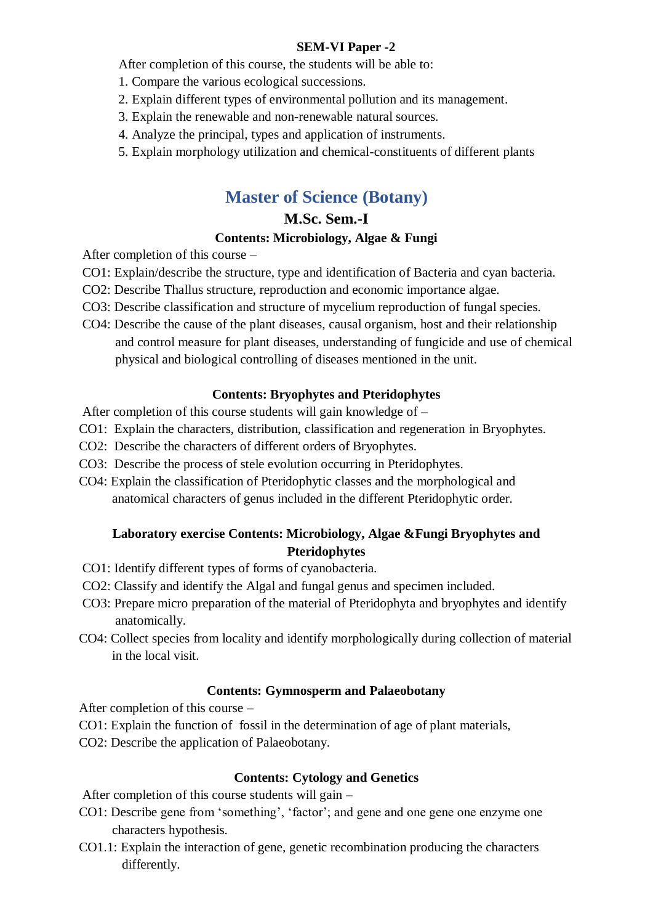#### **SEM-VI Paper -2**

After completion of this course, the students will be able to:

- 1. Compare the various ecological successions.
- 2. Explain different types of environmental pollution and its management.
- 3. Explain the renewable and non-renewable natural sources.
- 4. Analyze the principal, types and application of instruments.
- 5. Explain morphology utilization and chemical-constituents of different plants

## **Master of Science (Botany)**

### **M.Sc. Sem.-I**

## **Contents: Microbiology, Algae & Fungi**

After completion of this course –

- CO1: Explain/describe the structure, type and identification of Bacteria and cyan bacteria.
- CO2: Describe Thallus structure, reproduction and economic importance algae.
- CO3: Describe classification and structure of mycelium reproduction of fungal species.
- CO4: Describe the cause of the plant diseases, causal organism, host and their relationship and control measure for plant diseases, understanding of fungicide and use of chemical physical and biological controlling of diseases mentioned in the unit.

#### **Contents: Bryophytes and Pteridophytes**

After completion of this course students will gain knowledge of –

- CO1: Explain the characters, distribution, classification and regeneration in Bryophytes.
- CO2: Describe the characters of different orders of Bryophytes.
- CO3: Describe the process of stele evolution occurring in Pteridophytes.
- CO4: Explain the classification of Pteridophytic classes and the morphological and anatomical characters of genus included in the different Pteridophytic order.

### **Laboratory exercise Contents: Microbiology, Algae &Fungi Bryophytes and Pteridophytes**

- CO1: Identify different types of forms of cyanobacteria.
- CO2: Classify and identify the Algal and fungal genus and specimen included.
- CO3: Prepare micro preparation of the material of Pteridophyta and bryophytes and identify anatomically.
- CO4: Collect species from locality and identify morphologically during collection of material in the local visit.

#### **Contents: Gymnosperm and Palaeobotany**

After completion of this course –

- CO1: Explain the function of fossil in the determination of age of plant materials,
- CO2: Describe the application of Palaeobotany.

#### **Contents: Cytology and Genetics**

After completion of this course students will gain –

- CO1: Describe gene from 'something', 'factor'; and gene and one gene one enzyme one characters hypothesis.
- CO1.1: Explain the interaction of gene, genetic recombination producing the characters differently.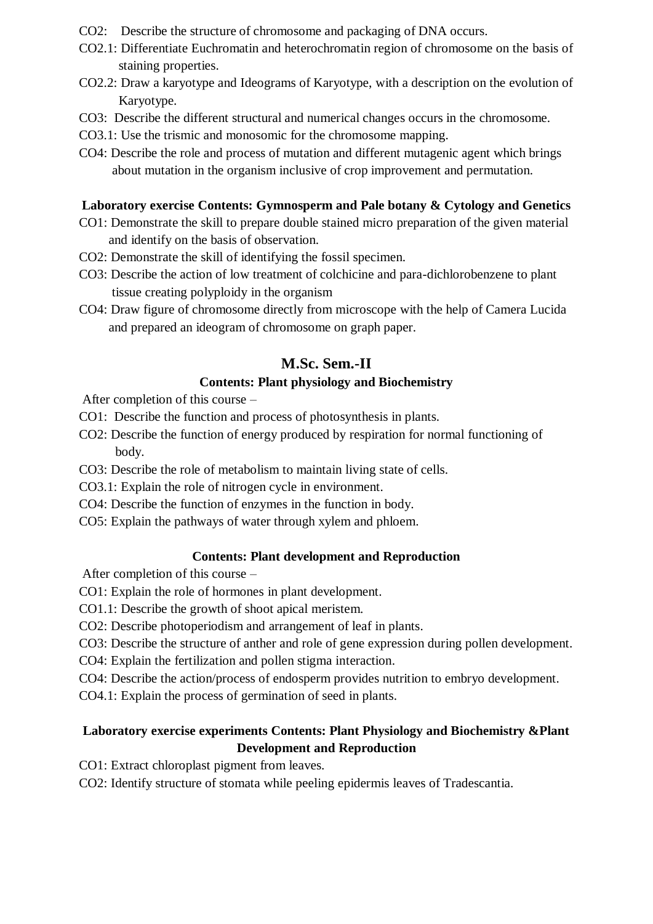- CO2: Describe the structure of chromosome and packaging of DNA occurs.
- CO2.1: Differentiate Euchromatin and heterochromatin region of chromosome on the basis of staining properties.
- CO2.2: Draw a karyotype and Ideograms of Karyotype, with a description on the evolution of Karyotype.
- CO3: Describe the different structural and numerical changes occurs in the chromosome.
- CO3.1: Use the trismic and monosomic for the chromosome mapping.
- CO4: Describe the role and process of mutation and different mutagenic agent which brings about mutation in the organism inclusive of crop improvement and permutation.

#### **Laboratory exercise Contents: Gymnosperm and Pale botany & Cytology and Genetics**

- CO1: Demonstrate the skill to prepare double stained micro preparation of the given material and identify on the basis of observation.
- CO2: Demonstrate the skill of identifying the fossil specimen.
- CO3: Describe the action of low treatment of colchicine and para-dichlorobenzene to plant tissue creating polyploidy in the organism
- CO4: Draw figure of chromosome directly from microscope with the help of Camera Lucida and prepared an ideogram of chromosome on graph paper.

## **M.Sc. Sem.-II**

## **Contents: Plant physiology and Biochemistry**

After completion of this course –

- CO1: Describe the function and process of photosynthesis in plants.
- CO2: Describe the function of energy produced by respiration for normal functioning of body.
- CO3: Describe the role of metabolism to maintain living state of cells.
- CO3.1: Explain the role of nitrogen cycle in environment.
- CO4: Describe the function of enzymes in the function in body.
- CO5: Explain the pathways of water through xylem and phloem.

## **Contents: Plant development and Reproduction**

After completion of this course –

CO1: Explain the role of hormones in plant development.

- CO1.1: Describe the growth of shoot apical meristem.
- CO2: Describe photoperiodism and arrangement of leaf in plants.
- CO3: Describe the structure of anther and role of gene expression during pollen development.
- CO4: Explain the fertilization and pollen stigma interaction.
- CO4: Describe the action/process of endosperm provides nutrition to embryo development.
- CO4.1: Explain the process of germination of seed in plants.

## **Laboratory exercise experiments Contents: Plant Physiology and Biochemistry &Plant Development and Reproduction**

CO1: Extract chloroplast pigment from leaves.

CO2: Identify structure of stomata while peeling epidermis leaves of Tradescantia.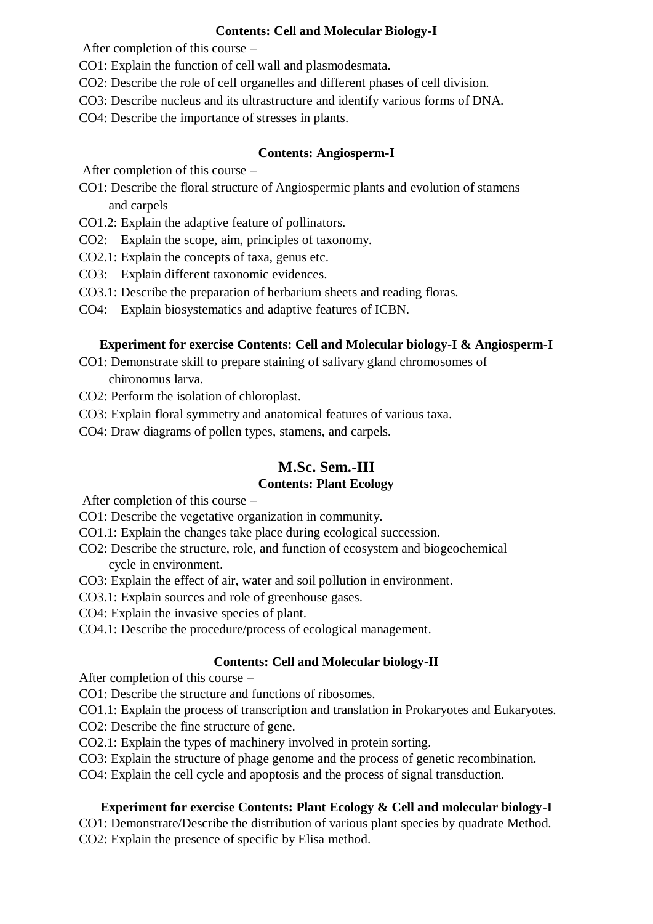#### **Contents: Cell and Molecular Biology-I**

After completion of this course –

- CO1: Explain the function of cell wall and plasmodesmata.
- CO2: Describe the role of cell organelles and different phases of cell division.
- CO3: Describe nucleus and its ultrastructure and identify various forms of DNA.
- CO4: Describe the importance of stresses in plants.

#### **Contents: Angiosperm-I**

After completion of this course –

- CO1: Describe the floral structure of Angiospermic plants and evolution of stamens and carpels
- CO1.2: Explain the adaptive feature of pollinators.
- CO2: Explain the scope, aim, principles of taxonomy.
- CO2.1: Explain the concepts of taxa, genus etc.
- CO3: Explain different taxonomic evidences.
- CO3.1: Describe the preparation of herbarium sheets and reading floras.
- CO4: Explain biosystematics and adaptive features of ICBN.

### **Experiment for exercise Contents: Cell and Molecular biology-I & Angiosperm-I**

- CO1: Demonstrate skill to prepare staining of salivary gland chromosomes of chironomus larva.
- CO2: Perform the isolation of chloroplast.
- CO3: Explain floral symmetry and anatomical features of various taxa.
- CO4: Draw diagrams of pollen types, stamens, and carpels.

## **M.Sc. Sem.-III**

## **Contents: Plant Ecology**

After completion of this course –

- CO1: Describe the vegetative organization in community.
- CO1.1: Explain the changes take place during ecological succession.
- CO2: Describe the structure, role, and function of ecosystem and biogeochemical cycle in environment.
- CO3: Explain the effect of air, water and soil pollution in environment.
- CO3.1: Explain sources and role of greenhouse gases.
- CO4: Explain the invasive species of plant.
- CO4.1: Describe the procedure/process of ecological management.

## **Contents: Cell and Molecular biology-II**

After completion of this course –

CO1: Describe the structure and functions of ribosomes.

CO1.1: Explain the process of transcription and translation in Prokaryotes and Eukaryotes.

CO2: Describe the fine structure of gene.

CO2.1: Explain the types of machinery involved in protein sorting.

CO3: Explain the structure of phage genome and the process of genetic recombination.

CO4: Explain the cell cycle and apoptosis and the process of signal transduction.

## **Experiment for exercise Contents: Plant Ecology & Cell and molecular biology-I**

CO1: Demonstrate/Describe the distribution of various plant species by quadrate Method. CO2: Explain the presence of specific by Elisa method.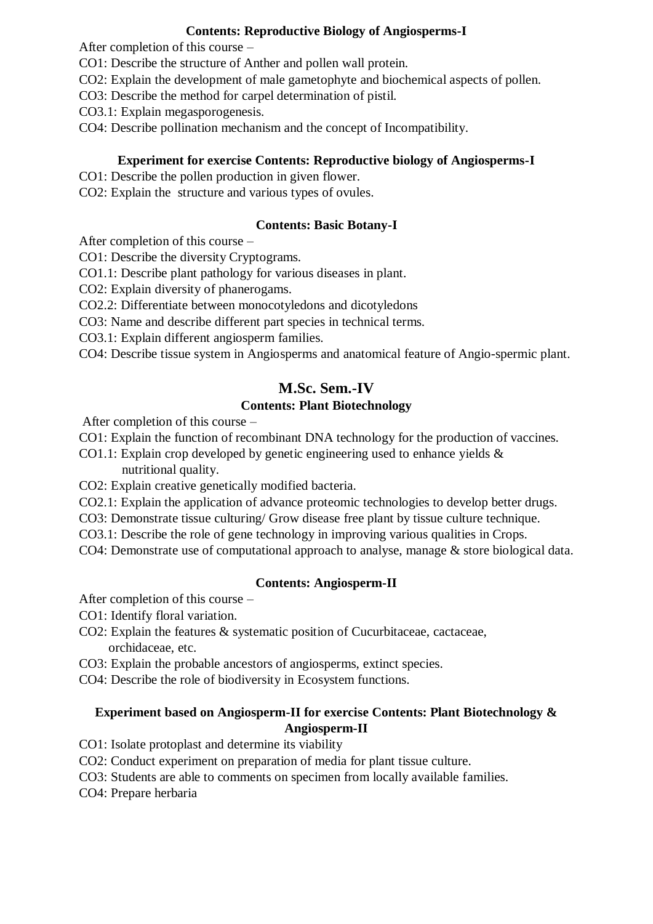#### **Contents: Reproductive Biology of Angiosperms-I**

After completion of this course –

- CO1: Describe the structure of Anther and pollen wall protein.
- CO2: Explain the development of male gametophyte and biochemical aspects of pollen.
- CO3: Describe the method for carpel determination of pistil.
- CO3.1: Explain megasporogenesis.
- CO4: Describe pollination mechanism and the concept of Incompatibility.

## **Experiment for exercise Contents: Reproductive biology of Angiosperms-I**

- CO1: Describe the pollen production in given flower.
- CO2: Explain the structure and various types of ovules.

#### **Contents: Basic Botany-I**

After completion of this course –

- CO1: Describe the diversity Cryptograms.
- CO1.1: Describe plant pathology for various diseases in plant.
- CO2: Explain diversity of phanerogams.
- CO2.2: Differentiate between monocotyledons and dicotyledons
- CO3: Name and describe different part species in technical terms.
- CO3.1: Explain different angiosperm families.
- CO4: Describe tissue system in Angiosperms and anatomical feature of Angio-spermic plant.

## **M.Sc. Sem.-IV**

### **Contents: Plant Biotechnology**

After completion of this course –

- CO1: Explain the function of recombinant DNA technology for the production of vaccines.
- CO1.1: Explain crop developed by genetic engineering used to enhance yields & nutritional quality.
- CO2: Explain creative genetically modified bacteria.
- CO2.1: Explain the application of advance proteomic technologies to develop better drugs.
- CO3: Demonstrate tissue culturing/ Grow disease free plant by tissue culture technique.
- CO3.1: Describe the role of gene technology in improving various qualities in Crops.
- CO4: Demonstrate use of computational approach to analyse, manage & store biological data.

## **Contents: Angiosperm-II**

After completion of this course –

- CO1: Identify floral variation.
- CO2: Explain the features & systematic position of Cucurbitaceae, cactaceae, orchidaceae, etc.
- CO3: Explain the probable ancestors of angiosperms, extinct species.
- CO4: Describe the role of biodiversity in Ecosystem functions.

## **Experiment based on Angiosperm-II for exercise Contents: Plant Biotechnology & Angiosperm-II**

CO1: Isolate protoplast and determine its viability

- CO2: Conduct experiment on preparation of media for plant tissue culture.
- CO3: Students are able to comments on specimen from locally available families.

CO4: Prepare herbaria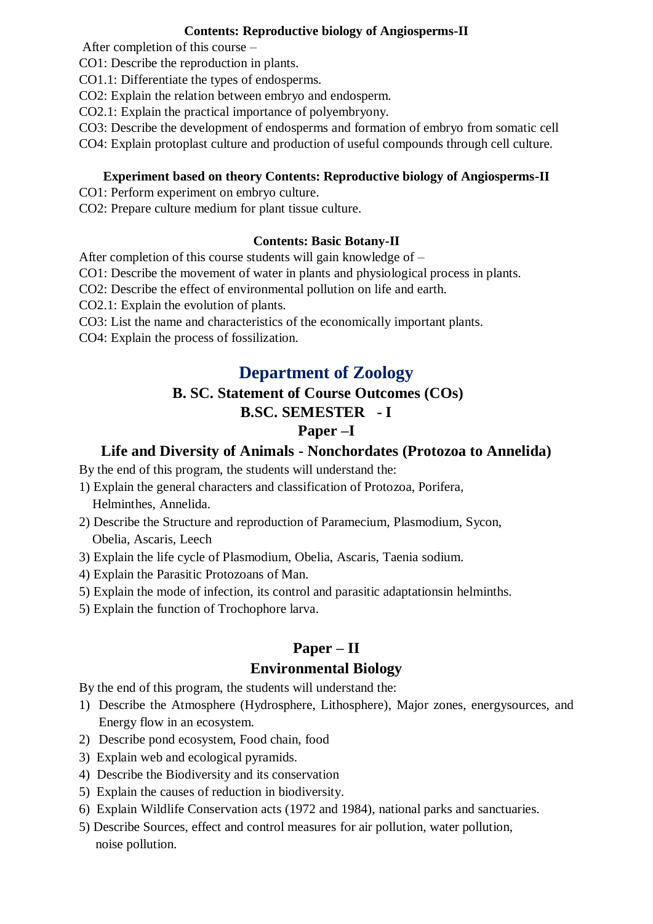#### **Contents: Reproductive biology of Angiosperms-II**

After completion of this course –

CO1: Describe the reproduction in plants.

CO1.1: Differentiate the types of endosperms.

CO2: Explain the relation between embryo and endosperm.

CO2.1: Explain the practical importance of polyembryony.

CO3: Describe the development of endosperms and formation of embryo from somatic cell

CO4: Explain protoplast culture and production of useful compounds through cell culture.

#### **Experiment based on theory Contents: Reproductive biology of Angiosperms-II**

CO1: Perform experiment on embryo culture.

CO2: Prepare culture medium for plant tissue culture.

### **Contents: Basic Botany-II**

After completion of this course students will gain knowledge of –

CO1: Describe the movement of water in plants and physiological process in plants.

CO2: Describe the effect of environmental pollution on life and earth.

CO2.1: Explain the evolution of plants.

CO3: List the name and characteristics of the economically important plants.

CO4: Explain the process of fossilization.

## **Department of Zoology**

## **B. SC. Statement of Course Outcomes (COs)**

## **B.SC. SEMESTER - I**

## **Paper –I**

## **Life and Diversity of Animals - Nonchordates (Protozoa to Annelida)**

By the end of this program, the students will understand the:

- 1) Explain the general characters and classification of Protozoa, Porifera, Helminthes, Annelida.
- 2) Describe the Structure and reproduction of Paramecium, Plasmodium, Sycon, Obelia, Ascaris, Leech
- 3) Explain the life cycle of Plasmodium, Obelia, Ascaris, Taenia sodium.
- 4) Explain the Parasitic Protozoans of Man.
- 5) Explain the mode of infection, its control and parasitic adaptationsin helminths.
- 5) Explain the function of Trochophore larva.

## **Paper – II**

#### **Environmental Biology**

By the end of this program, the students will understand the:

- 1) Describe the Atmosphere (Hydrosphere, Lithosphere), Major zones, energysources, and Energy flow in an ecosystem.
- 2) Describe pond ecosystem, Food chain, food
- 3) Explain web and ecological pyramids.
- 4) Describe the Biodiversity and its conservation
- 5) Explain the causes of reduction in biodiversity.
- 6) Explain Wildlife Conservation acts (1972 and 1984), national parks and sanctuaries.
- 5) Describe Sources, effect and control measures for air pollution, water pollution, noise pollution.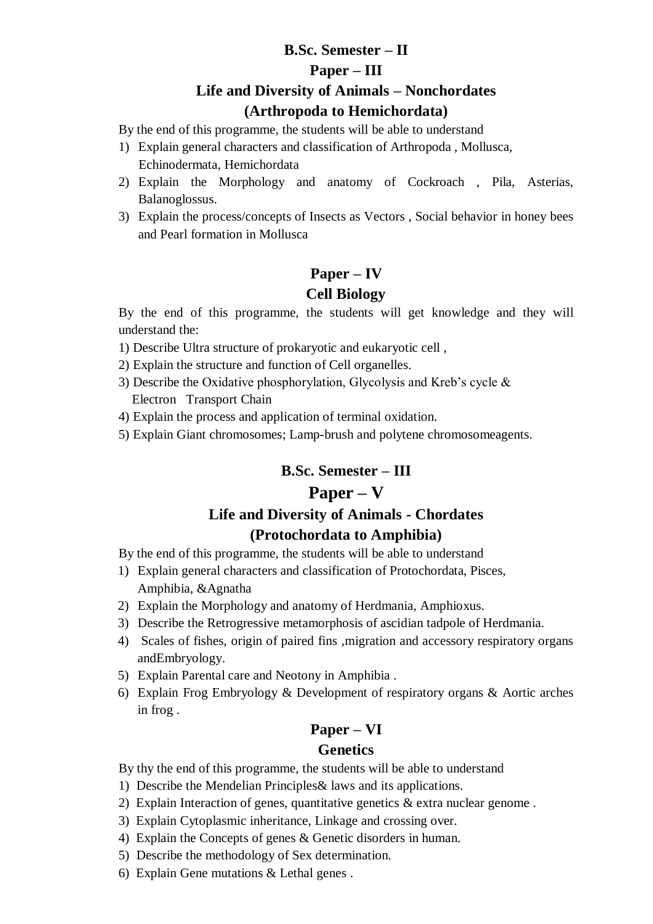## **B.Sc. Semester – II Paper – III Life and Diversity of Animals – Nonchordates (Arthropoda to Hemichordata)**

By the end of this programme, the students will be able to understand

- 1) Explain general characters and classification of Arthropoda , Mollusca, Echinodermata, Hemichordata
- 2) Explain the Morphology and anatomy of Cockroach , Pila, Asterias, Balanoglossus.
- 3) Explain the process/concepts of Insects as Vectors , Social behavior in honey bees and Pearl formation in Mollusca

## **Paper – IV Cell Biology**

By the end of this programme, the students will get knowledge and they will understand the:

- 1) Describe Ultra structure of prokaryotic and eukaryotic cell ,
- 2) Explain the structure and function of Cell organelles.
- 3) Describe the Oxidative phosphorylation, Glycolysis and Kreb's cycle & Electron Transport Chain
- 4) Explain the process and application of terminal oxidation.
- 5) Explain Giant chromosomes; Lamp-brush and polytene chromosomeagents.

## **B.Sc. Semester – III**

## **Paper – V**

# **Life and Diversity of Animals - Chordates**

## **(Protochordata to Amphibia)**

By the end of this programme, the students will be able to understand

- 1) Explain general characters and classification of Protochordata, Pisces, Amphibia, &Agnatha
- 2) Explain the Morphology and anatomy of Herdmania, Amphioxus.
- 3) Describe the Retrogressive metamorphosis of ascidian tadpole of Herdmania.
- 4) Scales of fishes, origin of paired fins ,migration and accessory respiratory organs andEmbryology.
- 5) Explain Parental care and Neotony in Amphibia .
- 6) Explain Frog Embryology & Development of respiratory organs & Aortic arches in frog .

## **Paper – VI**

## **Genetics**

- By thy the end of this programme, the students will be able to understand
- 1) Describe the Mendelian Principles& laws and its applications.
- 2) Explain Interaction of genes, quantitative genetics & extra nuclear genome .
- 3) Explain Cytoplasmic inheritance, Linkage and crossing over.
- 4) Explain the Concepts of genes & Genetic disorders in human.
- 5) Describe the methodology of Sex determination.
- 6) Explain Gene mutations & Lethal genes .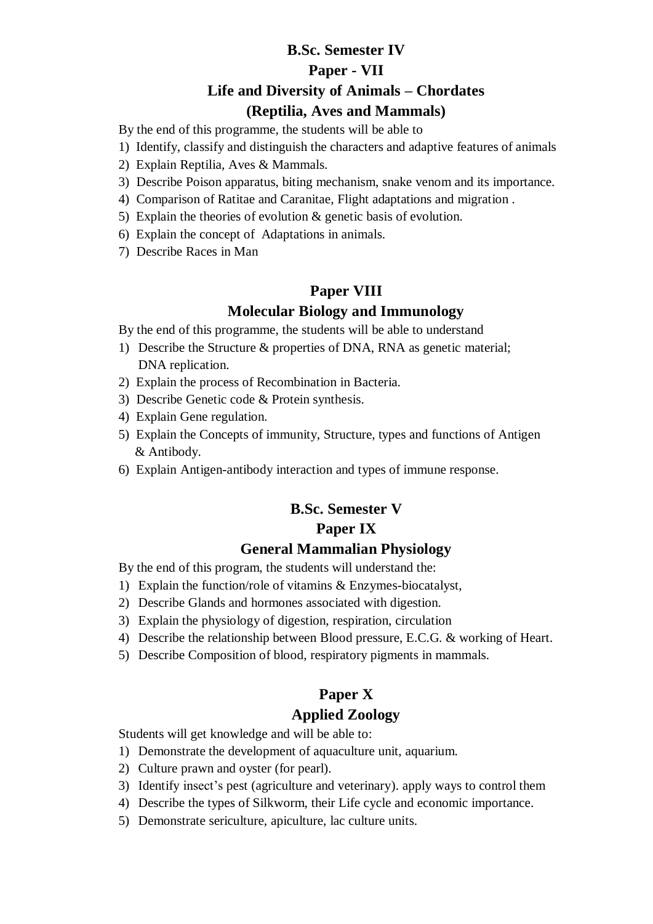## **B.Sc. Semester IV Paper - VII Life and Diversity of Animals – Chordates (Reptilia, Aves and Mammals)**

By the end of this programme, the students will be able to

- 1) Identify, classify and distinguish the characters and adaptive features of animals
- 2) Explain Reptilia, Aves & Mammals.
- 3) Describe Poison apparatus, biting mechanism, snake venom and its importance.
- 4) Comparison of Ratitae and Caranitae, Flight adaptations and migration .
- 5) Explain the theories of evolution & genetic basis of evolution.
- 6) Explain the concept of Adaptations in animals.
- 7) Describe Races in Man

### **Paper VIII**

#### **Molecular Biology and Immunology**

By the end of this programme, the students will be able to understand

- 1) Describe the Structure & properties of DNA, RNA as genetic material; DNA replication.
- 2) Explain the process of Recombination in Bacteria.
- 3) Describe Genetic code & Protein synthesis.
- 4) Explain Gene regulation.
- 5) Explain the Concepts of immunity, Structure, types and functions of Antigen & Antibody.
- 6) Explain Antigen-antibody interaction and types of immune response.

#### **B.Sc. Semester V**

#### **Paper IX**

#### **General Mammalian Physiology**

By the end of this program, the students will understand the:

- 1) Explain the function/role of vitamins & Enzymes-biocatalyst,
- 2) Describe Glands and hormones associated with digestion.
- 3) Explain the physiology of digestion, respiration, circulation
- 4) Describe the relationship between Blood pressure, E.C.G. & working of Heart.
- 5) Describe Composition of blood, respiratory pigments in mammals.

#### **Paper X**

### **Applied Zoology**

Students will get knowledge and will be able to:

- 1) Demonstrate the development of aquaculture unit, aquarium.
- 2) Culture prawn and oyster (for pearl).
- 3) Identify insect's pest (agriculture and veterinary). apply ways to control them
- 4) Describe the types of Silkworm, their Life cycle and economic importance.
- 5) Demonstrate sericulture, apiculture, lac culture units.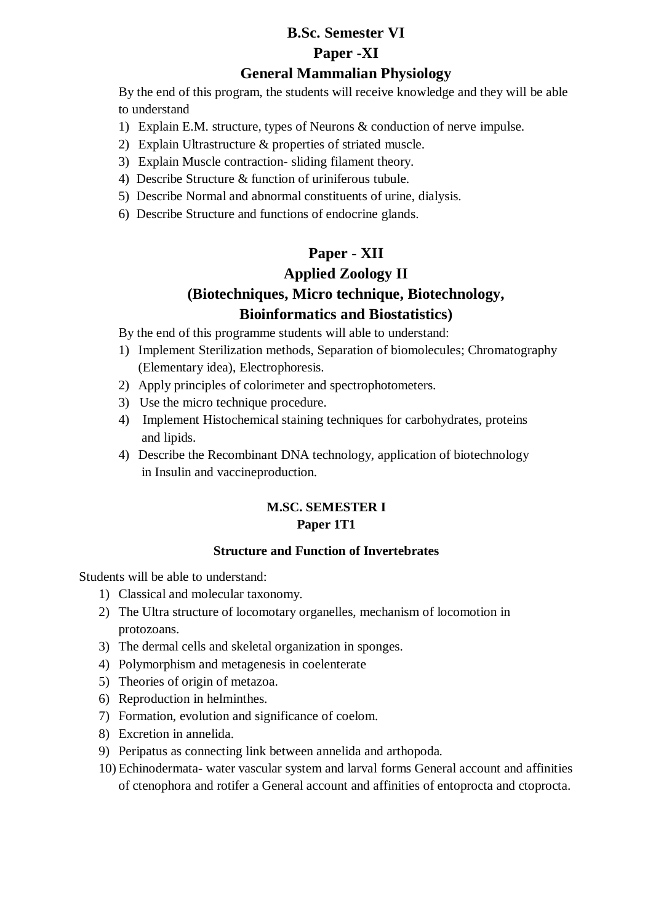# **B.Sc. Semester VI Paper -XI**

## **General Mammalian Physiology**

By the end of this program, the students will receive knowledge and they will be able to understand

- 1) Explain E.M. structure, types of Neurons & conduction of nerve impulse.
- 2) Explain Ultrastructure & properties of striated muscle.
- 3) Explain Muscle contraction- sliding filament theory.
- 4) Describe Structure & function of uriniferous tubule.
- 5) Describe Normal and abnormal constituents of urine, dialysis.
- 6) Describe Structure and functions of endocrine glands.

## **Paper - XII Applied Zoology II (Biotechniques, Micro technique, Biotechnology, Bioinformatics and Biostatistics)**

By the end of this programme students will able to understand:

- 1) Implement Sterilization methods, Separation of biomolecules; Chromatography (Elementary idea), Electrophoresis.
- 2) Apply principles of colorimeter and spectrophotometers.
- 3) Use the micro technique procedure.
- 4) Implement Histochemical staining techniques for carbohydrates, proteins and lipids.
- 4) Describe the Recombinant DNA technology, application of biotechnology in Insulin and vaccineproduction.

## **M.SC. SEMESTER I Paper 1T1**

#### **Structure and Function of Invertebrates**

Students will be able to understand:

- 1) Classical and molecular taxonomy.
- 2) The Ultra structure of locomotary organelles, mechanism of locomotion in protozoans.
- 3) The dermal cells and skeletal organization in sponges.
- 4) Polymorphism and metagenesis in coelenterate
- 5) Theories of origin of metazoa.
- 6) Reproduction in helminthes.
- 7) Formation, evolution and significance of coelom.
- 8) Excretion in annelida.
- 9) Peripatus as connecting link between annelida and arthopoda.
- 10) Echinodermata- water vascular system and larval forms General account and affinities of ctenophora and rotifer a General account and affinities of entoprocta and ctoprocta.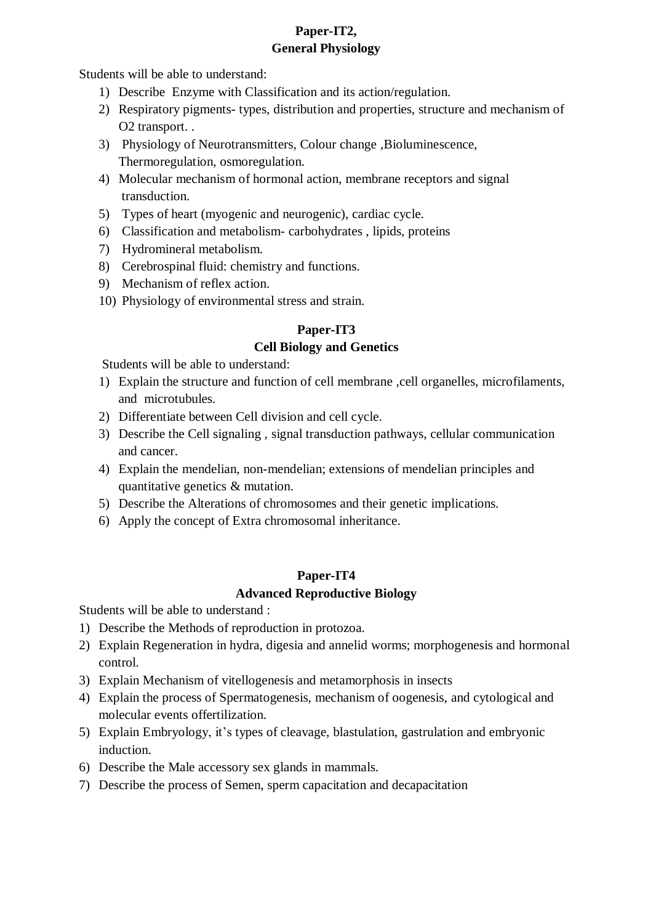## **Paper-IT2, General Physiology**

Students will be able to understand:

- 1) Describe Enzyme with Classification and its action/regulation.
- 2) Respiratory pigments- types, distribution and properties, structure and mechanism of O2 transport. .
- 3) Physiology of Neurotransmitters, Colour change ,Bioluminescence, Thermoregulation, osmoregulation.
- 4) Molecular mechanism of hormonal action, membrane receptors and signal transduction.
- 5) Types of heart (myogenic and neurogenic), cardiac cycle.
- 6) Classification and metabolism- carbohydrates , lipids, proteins
- 7) Hydromineral metabolism.
- 8) Cerebrospinal fluid: chemistry and functions.
- 9) Mechanism of reflex action.
- 10) Physiology of environmental stress and strain.

### **Paper-IT3**

### **Cell Biology and Genetics**

Students will be able to understand:

- 1) Explain the structure and function of cell membrane ,cell organelles, microfilaments, and microtubules.
- 2) Differentiate between Cell division and cell cycle.
- 3) Describe the Cell signaling , signal transduction pathways, cellular communication and cancer.
- 4) Explain the mendelian, non-mendelian; extensions of mendelian principles and quantitative genetics & mutation.
- 5) Describe the Alterations of chromosomes and their genetic implications.
- 6) Apply the concept of Extra chromosomal inheritance.

## **Paper-IT4 Advanced Reproductive Biology**

Students will be able to understand :

- 1) Describe the Methods of reproduction in protozoa.
- 2) Explain Regeneration in hydra, digesia and annelid worms; morphogenesis and hormonal control.
- 3) Explain Mechanism of vitellogenesis and metamorphosis in insects
- 4) Explain the process of Spermatogenesis, mechanism of oogenesis, and cytological and molecular events offertilization.
- 5) Explain Embryology, it's types of cleavage, blastulation, gastrulation and embryonic induction.
- 6) Describe the Male accessory sex glands in mammals.
- 7) Describe the process of Semen, sperm capacitation and decapacitation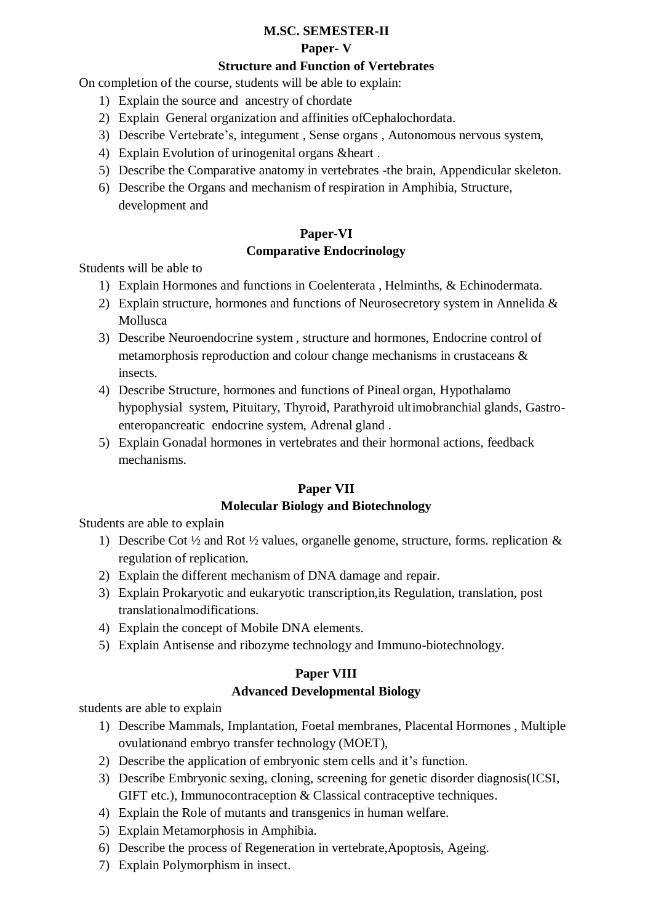#### **M.SC. SEMESTER-II**

#### **Paper- V**

### **Structure and Function of Vertebrates**

On completion of the course, students will be able to explain:

- 1) Explain the source and ancestry of chordate
- 2) Explain General organization and affinities ofCephalochordata.
- 3) Describe Vertebrate's, integument , Sense organs , Autonomous nervous system,
- 4) Explain Evolution of urinogenital organs &heart .
- 5) Describe the Comparative anatomy in vertebrates -the brain, Appendicular skeleton.
- 6) Describe the Organs and mechanism of respiration in Amphibia, Structure, development and

## **Paper-VI Comparative Endocrinology**

Students will be able to

- 1) Explain Hormones and functions in Coelenterata , Helminths, & Echinodermata.
- 2) Explain structure, hormones and functions of Neurosecretory system in Annelida & Mollusca
- 3) Describe Neuroendocrine system , structure and hormones, Endocrine control of metamorphosis reproduction and colour change mechanisms in crustaceans & insects.
- 4) Describe Structure, hormones and functions of Pineal organ, Hypothalamo hypophysial system, Pituitary, Thyroid, Parathyroid ultimobranchial glands, Gastroenteropancreatic endocrine system, Adrenal gland .
- 5) Explain Gonadal hormones in vertebrates and their hormonal actions, feedback mechanisms.

## **Paper VII**

#### **Molecular Biology and Biotechnology**

Students are able to explain

- 1) Describe Cot  $\frac{1}{2}$  and Rot  $\frac{1}{2}$  values, organelle genome, structure, forms. replication & regulation of replication.
- 2) Explain the different mechanism of DNA damage and repair.
- 3) Explain Prokaryotic and eukaryotic transcription,its Regulation, translation, post translationalmodifications.
- 4) Explain the concept of Mobile DNA elements.
- 5) Explain Antisense and ribozyme technology and Immuno-biotechnology.

#### **Paper VIII**

## **Advanced Developmental Biology**

students are able to explain

- 1) Describe Mammals, Implantation, Foetal membranes, Placental Hormones , Multiple ovulationand embryo transfer technology (MOET),
- 2) Describe the application of embryonic stem cells and it's function.
- 3) Describe Embryonic sexing, cloning, screening for genetic disorder diagnosis(ICSI, GIFT etc.), Immunocontraception & Classical contraceptive techniques.
- 4) Explain the Role of mutants and transgenics in human welfare.
- 5) Explain Metamorphosis in Amphibia.
- 6) Describe the process of Regeneration in vertebrate,Apoptosis, Ageing.
- 7) Explain Polymorphism in insect.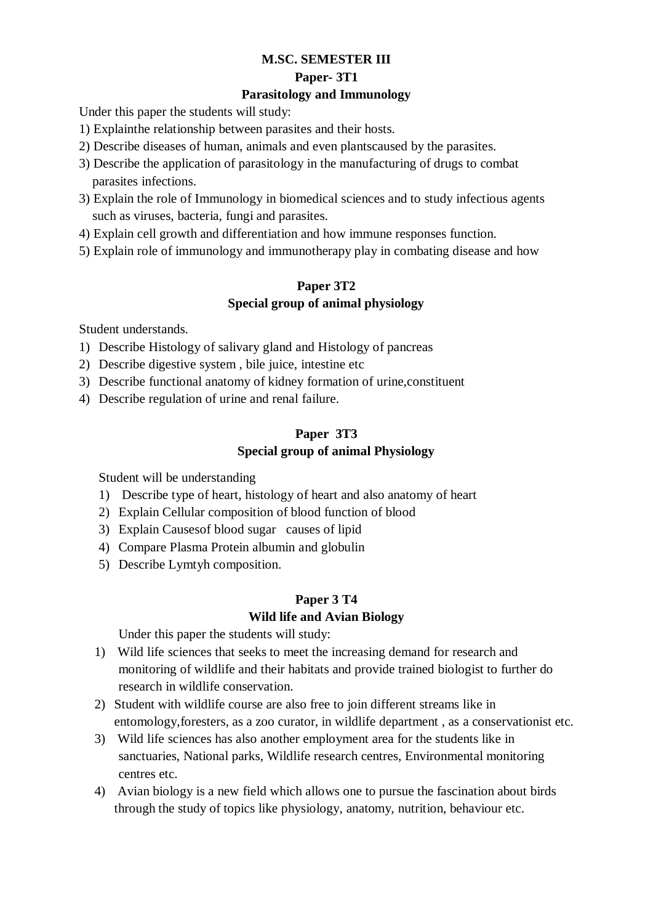## **M.SC. SEMESTER III**

#### **Paper- 3T1**

### **Parasitology and Immunology**

Under this paper the students will study:

- 1) Explainthe relationship between parasites and their hosts.
- 2) Describe diseases of human, animals and even plantscaused by the parasites.
- 3) Describe the application of parasitology in the manufacturing of drugs to combat parasites infections.
- 3) Explain the role of Immunology in biomedical sciences and to study infectious agents such as viruses, bacteria, fungi and parasites.
- 4) Explain cell growth and differentiation and how immune responses function.
- 5) Explain role of immunology and immunotherapy play in combating disease and how

## **Paper 3T2 Special group of animal physiology**

Student understands.

- 1) Describe Histology of salivary gland and Histology of pancreas
- 2) Describe digestive system , bile juice, intestine etc
- 3) Describe functional anatomy of kidney formation of urine,constituent
- 4) Describe regulation of urine and renal failure.

### **Paper 3T3 Special group of animal Physiology**

Student will be understanding

- 1) Describe type of heart, histology of heart and also anatomy of heart
- 2) Explain Cellular composition of blood function of blood
- 3) Explain Causesof blood sugar causes of lipid
- 4) Compare Plasma Protein albumin and globulin
- 5) Describe Lymtyh composition.

## **Paper 3 T4**

#### **Wild life and Avian Biology**

Under this paper the students will study:

- 1) Wild life sciences that seeks to meet the increasing demand for research and monitoring of wildlife and their habitats and provide trained biologist to further do research in wildlife conservation.
- 2) Student with wildlife course are also free to join different streams like in entomology,foresters, as a zoo curator, in wildlife department , as a conservationist etc.
- 3) Wild life sciences has also another employment area for the students like in sanctuaries, National parks, Wildlife research centres, Environmental monitoring centres etc.
- 4) Avian biology is a new field which allows one to pursue the fascination about birds through the study of topics like physiology, anatomy, nutrition, behaviour etc.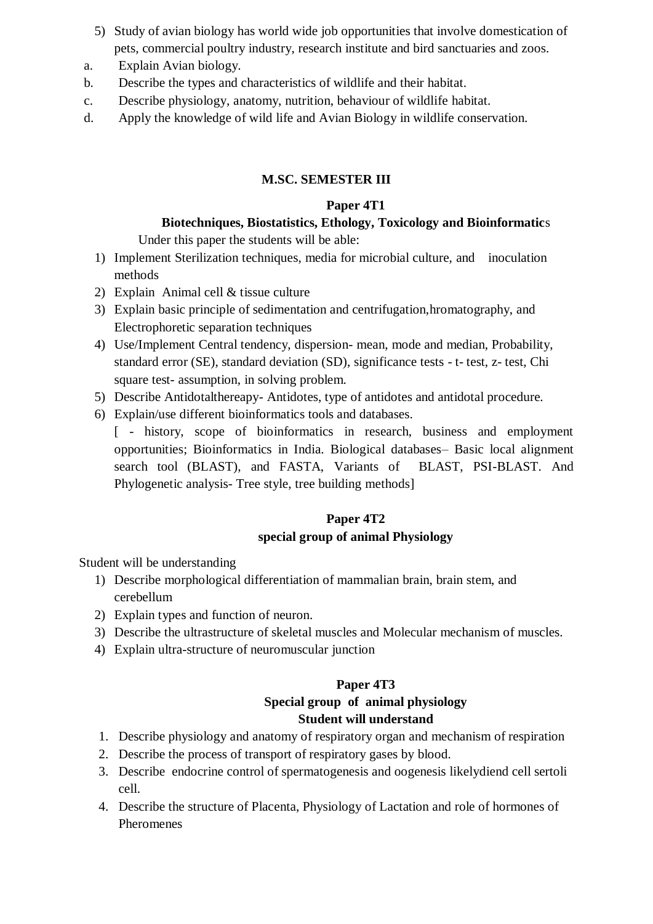- 5) Study of avian biology has world wide job opportunities that involve domestication of pets, commercial poultry industry, research institute and bird sanctuaries and zoos.
- a. Explain Avian biology.
- b. Describe the types and characteristics of wildlife and their habitat.
- c. Describe physiology, anatomy, nutrition, behaviour of wildlife habitat.
- d. Apply the knowledge of wild life and Avian Biology in wildlife conservation.

## **M.SC. SEMESTER III**

### **Paper 4T1**

# **Biotechniques, Biostatistics, Ethology, Toxicology and Bioinformatic**s

Under this paper the students will be able:

- 1) Implement Sterilization techniques, media for microbial culture, and inoculation methods
- 2) Explain Animal cell & tissue culture
- 3) Explain basic principle of sedimentation and centrifugation,hromatography, and Electrophoretic separation techniques
- 4) Use/Implement Central tendency, dispersion- mean, mode and median, Probability, standard error (SE), standard deviation (SD), significance tests - t- test, z- test, Chi square test- assumption, in solving problem.
- 5) Describe Antidotalthereapy- Antidotes, type of antidotes and antidotal procedure.
- 6) Explain/use different bioinformatics tools and databases.

[ - history, scope of bioinformatics in research, business and employment opportunities; Bioinformatics in India. Biological databases– Basic local alignment search tool (BLAST), and FASTA, Variants of BLAST, PSI-BLAST. And Phylogenetic analysis- Tree style, tree building methods]

## **Paper 4T2 special group of animal Physiology**

Student will be understanding

- 1) Describe morphological differentiation of mammalian brain, brain stem, and cerebellum
- 2) Explain types and function of neuron.
- 3) Describe the ultrastructure of skeletal muscles and Molecular mechanism of muscles.
- 4) Explain ultra-structure of neuromuscular junction

## **Paper 4T3**

## **Special group of animal physiology Student will understand**

- 1. Describe physiology and anatomy of respiratory organ and mechanism of respiration
- 2. Describe the process of transport of respiratory gases by blood.
- 3. Describe endocrine control of spermatogenesis and oogenesis likelydiend cell sertoli cell.
- 4. Describe the structure of Placenta, Physiology of Lactation and role of hormones of Pheromenes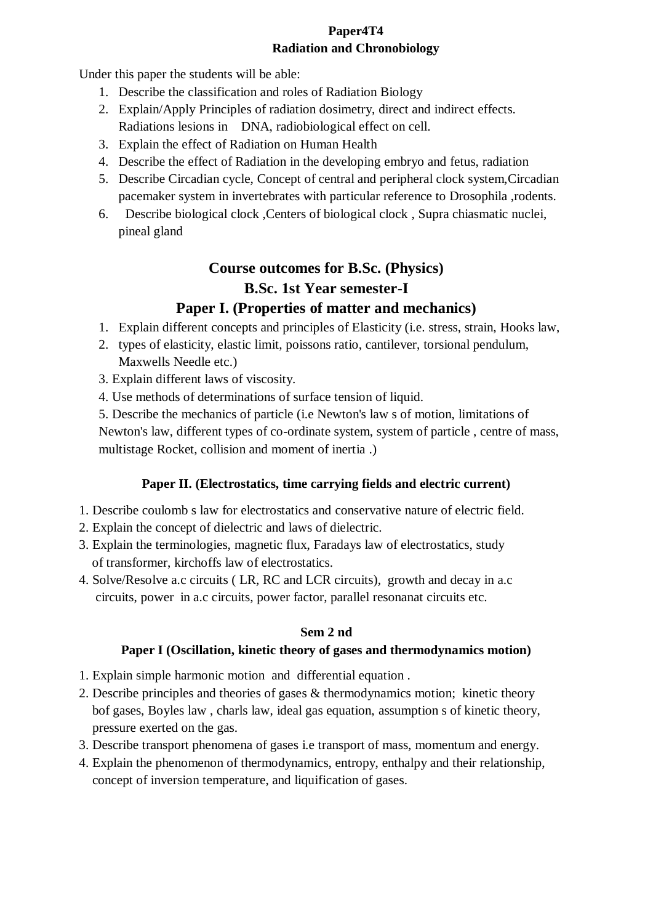## **Paper4T4 Radiation and Chronobiology**

Under this paper the students will be able:

- 1. Describe the classification and roles of Radiation Biology
- 2. Explain/Apply Principles of radiation dosimetry, direct and indirect effects. Radiations lesions in DNA, radiobiological effect on cell.
- 3. Explain the effect of Radiation on Human Health
- 4. Describe the effect of Radiation in the developing embryo and fetus, radiation
- 5. Describe Circadian cycle, Concept of central and peripheral clock system,Circadian pacemaker system in invertebrates with particular reference to Drosophila ,rodents.
- 6. Describe biological clock ,Centers of biological clock , Supra chiasmatic nuclei, pineal gland

# **Course outcomes for B.Sc. (Physics) B.Sc. 1st Year semester-I**

## **Paper I. (Properties of matter and mechanics)**

- 1. Explain different concepts and principles of Elasticity (i.e. stress, strain, Hooks law,
- 2. types of elasticity, elastic limit, poissons ratio, cantilever, torsional pendulum, Maxwells Needle etc.)
- 3. Explain different laws of viscosity.
- 4. Use methods of determinations of surface tension of liquid.

5. Describe the mechanics of particle (i.e Newton's law s of motion, limitations of Newton's law, different types of co-ordinate system, system of particle , centre of mass, multistage Rocket, collision and moment of inertia .)

## **Paper II. (Electrostatics, time carrying fields and electric current)**

- 1. Describe coulomb s law for electrostatics and conservative nature of electric field.
- 2. Explain the concept of dielectric and laws of dielectric.
- 3. Explain the terminologies, magnetic flux, Faradays law of electrostatics, study of transformer, kirchoffs law of electrostatics.
- 4. Solve/Resolve a.c circuits ( LR, RC and LCR circuits), growth and decay in a.c circuits, power in a.c circuits, power factor, parallel resonanat circuits etc.

#### **Sem 2 nd**

## **Paper I (Oscillation, kinetic theory of gases and thermodynamics motion)**

- 1. Explain simple harmonic motion and differential equation .
- 2. Describe principles and theories of gases & thermodynamics motion; kinetic theory bof gases, Boyles law , charls law, ideal gas equation, assumption s of kinetic theory, pressure exerted on the gas.
- 3. Describe transport phenomena of gases i.e transport of mass, momentum and energy.
- 4. Explain the phenomenon of thermodynamics, entropy, enthalpy and their relationship, concept of inversion temperature, and liquification of gases.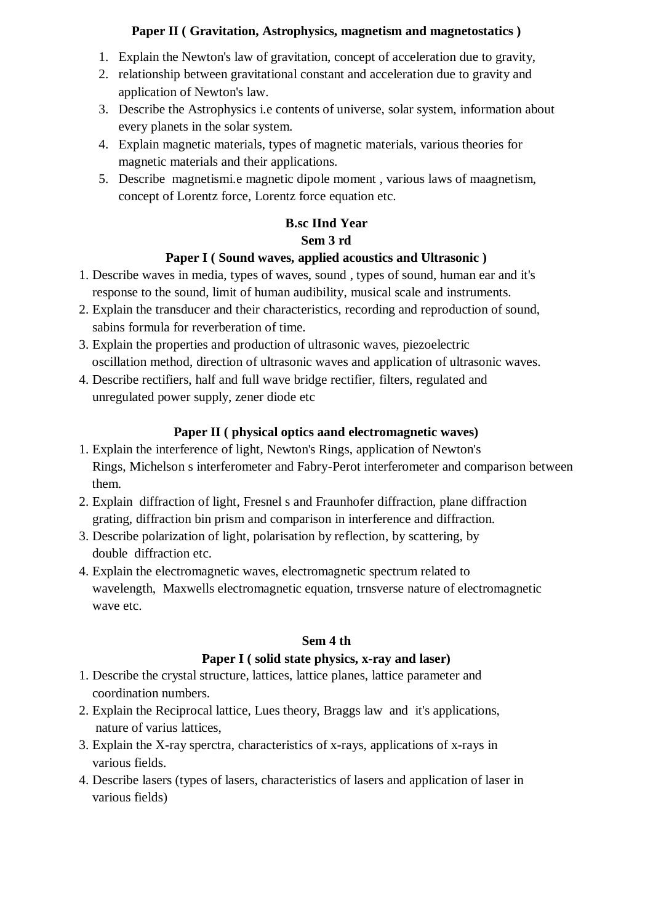#### **Paper II ( Gravitation, Astrophysics, magnetism and magnetostatics )**

- 1. Explain the Newton's law of gravitation, concept of acceleration due to gravity,
- 2. relationship between gravitational constant and acceleration due to gravity and application of Newton's law.
- 3. Describe the Astrophysics i.e contents of universe, solar system, information about every planets in the solar system.
- 4. Explain magnetic materials, types of magnetic materials, various theories for magnetic materials and their applications.
- 5. Describe magnetismi.e magnetic dipole moment , various laws of maagnetism, concept of Lorentz force, Lorentz force equation etc.

## **B.sc IInd Year Sem 3 rd**

## **Paper I ( Sound waves, applied acoustics and Ultrasonic )**

- 1. Describe waves in media, types of waves, sound , types of sound, human ear and it's response to the sound, limit of human audibility, musical scale and instruments.
- 2. Explain the transducer and their characteristics, recording and reproduction of sound, sabins formula for reverberation of time.
- 3. Explain the properties and production of ultrasonic waves, piezoelectric oscillation method, direction of ultrasonic waves and application of ultrasonic waves.
- 4. Describe rectifiers, half and full wave bridge rectifier, filters, regulated and unregulated power supply, zener diode etc

## **Paper II ( physical optics aand electromagnetic waves)**

- 1. Explain the interference of light, Newton's Rings, application of Newton's Rings, Michelson s interferometer and Fabry-Perot interferometer and comparison between them.
- 2. Explain diffraction of light, Fresnel s and Fraunhofer diffraction, plane diffraction grating, diffraction bin prism and comparison in interference and diffraction.
- 3. Describe polarization of light, polarisation by reflection, by scattering, by double diffraction etc.
- 4. Explain the electromagnetic waves, electromagnetic spectrum related to wavelength, Maxwells electromagnetic equation, trnsverse nature of electromagnetic wave etc.

#### **Sem 4 th**

## **Paper I ( solid state physics, x-ray and laser)**

- 1. Describe the crystal structure, lattices, lattice planes, lattice parameter and coordination numbers.
- 2. Explain the Reciprocal lattice, Lues theory, Braggs law and it's applications, nature of varius lattices,
- 3. Explain the X-ray sperctra, characteristics of x-rays, applications of x-rays in various fields.
- 4. Describe lasers (types of lasers, characteristics of lasers and application of laser in various fields)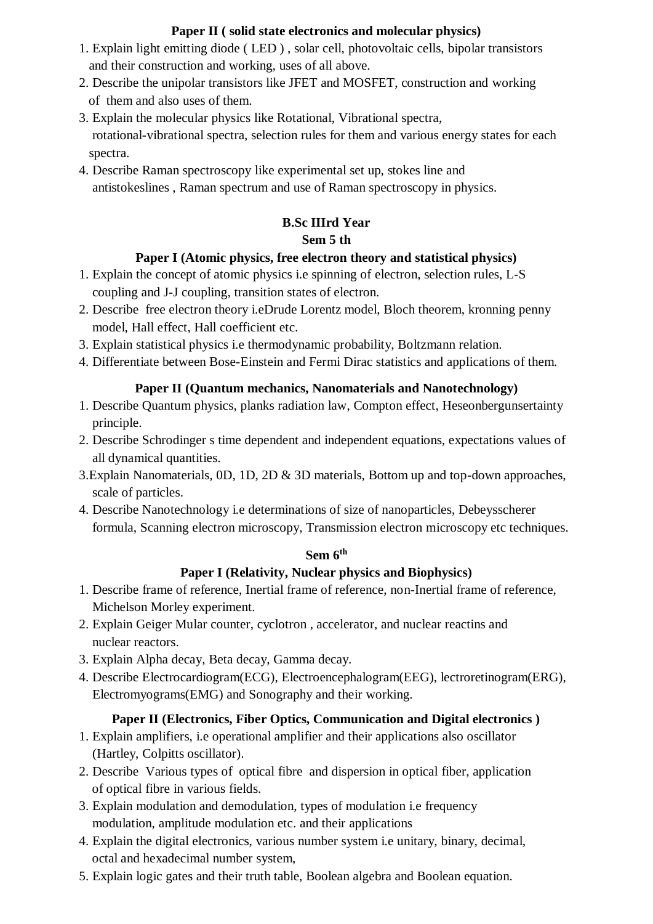## **Paper II ( solid state electronics and molecular physics)**

- 1. Explain light emitting diode ( LED ) , solar cell, photovoltaic cells, bipolar transistors and their construction and working, uses of all above.
- 2. Describe the unipolar transistors like JFET and MOSFET, construction and working of them and also uses of them.
- 3. Explain the molecular physics like Rotational, Vibrational spectra, rotational-vibrational spectra, selection rules for them and various energy states for each spectra.
- 4. Describe Raman spectroscopy like experimental set up, stokes line and antistokeslines , Raman spectrum and use of Raman spectroscopy in physics.

## **B.Sc IIIrd Year Sem 5 th**

## **Paper I (Atomic physics, free electron theory and statistical physics)**

- 1. Explain the concept of atomic physics i.e spinning of electron, selection rules, L-S coupling and J-J coupling, transition states of electron.
- 2. Describe free electron theory i.eDrude Lorentz model, Bloch theorem, kronning penny model, Hall effect, Hall coefficient etc.
- 3. Explain statistical physics i.e thermodynamic probability, Boltzmann relation.
- 4. Differentiate between Bose-Einstein and Fermi Dirac statistics and applications of them.

## **Paper II (Quantum mechanics, Nanomaterials and Nanotechnology)**

- 1. Describe Quantum physics, planks radiation law, Compton effect, Heseonbergunsertainty principle.
- 2. Describe Schrodinger s time dependent and independent equations, expectations values of all dynamical quantities.
- 3.Explain Nanomaterials, 0D, 1D, 2D & 3D materials, Bottom up and top-down approaches, scale of particles.
- 4. Describe Nanotechnology i.e determinations of size of nanoparticles, Debeysscherer formula, Scanning electron microscopy, Transmission electron microscopy etc techniques.

## **Sem 6th**

## **Paper I (Relativity, Nuclear physics and Biophysics)**

- 1. Describe frame of reference, Inertial frame of reference, non-Inertial frame of reference, Michelson Morley experiment.
- 2. Explain Geiger Mular counter, cyclotron , accelerator, and nuclear reactins and nuclear reactors.
- 3. Explain Alpha decay, Beta decay, Gamma decay.
- 4. Describe Electrocardiogram(ECG), Electroencephalogram(EEG), lectroretinogram(ERG), Electromyograms(EMG) and Sonography and their working.

## **Paper II (Electronics, Fiber Optics, Communication and Digital electronics )**

- 1. Explain amplifiers, i.e operational amplifier and their applications also oscillator (Hartley, Colpitts oscillator).
- 2. Describe Various types of optical fibre and dispersion in optical fiber, application of optical fibre in various fields.
- 3. Explain modulation and demodulation, types of modulation i.e frequency modulation, amplitude modulation etc. and their applications
- 4. Explain the digital electronics, various number system i.e unitary, binary, decimal, octal and hexadecimal number system,
- 5. Explain logic gates and their truth table, Boolean algebra and Boolean equation.